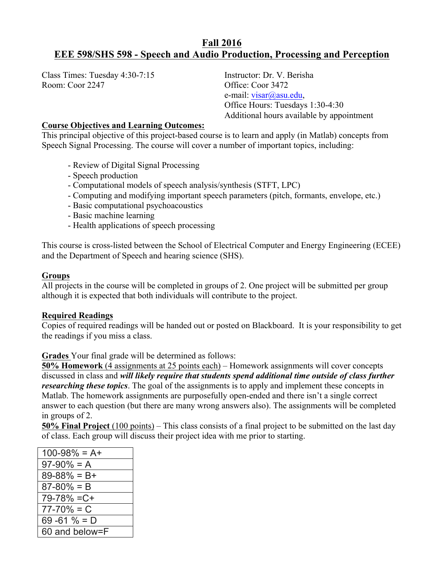# **Fall 2016 EEE 598/SHS 598 - Speech and Audio Production, Processing and Perception**

Class Times: Tuesday 4:30-7:15 Instructor: Dr. V. Berisha Room: Coor 2247 Office: Coor 3472

e-mail: visar@asu.edu, Office Hours: Tuesdays 1:30-4:30 Additional hours available by appointment

## **Course Objectives and Learning Outcomes:**

This principal objective of this project-based course is to learn and apply (in Matlab) concepts from Speech Signal Processing. The course will cover a number of important topics, including:

- Review of Digital Signal Processing
- Speech production
- Computational models of speech analysis/synthesis (STFT, LPC)
- Computing and modifying important speech parameters (pitch, formants, envelope, etc.)
- Basic computational psychoacoustics
- Basic machine learning
- Health applications of speech processing

This course is cross-listed between the School of Electrical Computer and Energy Engineering (ECEE) and the Department of Speech and hearing science (SHS).

# **Groups**

All projects in the course will be completed in groups of 2. One project will be submitted per group although it is expected that both individuals will contribute to the project.

#### **Required Readings**

Copies of required readings will be handed out or posted on Blackboard. It is your responsibility to get the readings if you miss a class.

**Grades** Your final grade will be determined as follows:

**50% Homework** (4 assignments at 25 points each) – Homework assignments will cover concepts discussed in class and *will likely require that students spend additional time outside of class further researching these topics*. The goal of the assignments is to apply and implement these concepts in Matlab. The homework assignments are purposefully open-ended and there isn't a single correct answer to each question (but there are many wrong answers also). The assignments will be completed in groups of 2.

**50% Final Project** (100 points) – This class consists of a final project to be submitted on the last day of class. Each group will discuss their project idea with me prior to starting.

| $100 - 98\% = A +$ |
|--------------------|
| $97-90\% = A$      |
| $89 - 88\% = B +$  |
| $87 - 80\% = B$    |
| $79 - 78\% = C +$  |
| $77 - 70\% = C$    |
| 69 - 61 $% = D$    |
| 60 and below=F     |